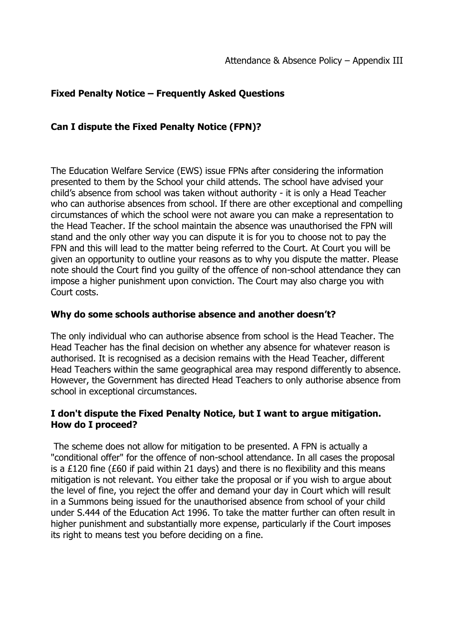# **Fixed Penalty Notice – Frequently Asked Questions**

## **Can I dispute the Fixed Penalty Notice (FPN)?**

The Education Welfare Service (EWS) issue FPNs after considering the information presented to them by the School your child attends. The school have advised your child's absence from school was taken without authority - it is only a Head Teacher who can authorise absences from school. If there are other exceptional and compelling circumstances of which the school were not aware you can make a representation to the Head Teacher. If the school maintain the absence was unauthorised the FPN will stand and the only other way you can dispute it is for you to choose not to pay the FPN and this will lead to the matter being referred to the Court. At Court you will be given an opportunity to outline your reasons as to why you dispute the matter. Please note should the Court find you guilty of the offence of non-school attendance they can impose a higher punishment upon conviction. The Court may also charge you with Court costs.

#### **Why do some schools authorise absence and another doesn't?**

The only individual who can authorise absence from school is the Head Teacher. The Head Teacher has the final decision on whether any absence for whatever reason is authorised. It is recognised as a decision remains with the Head Teacher, different Head Teachers within the same geographical area may respond differently to absence. However, the Government has directed Head Teachers to only authorise absence from school in exceptional circumstances.

## **I don't dispute the Fixed Penalty Notice, but I want to argue mitigation. How do I proceed?**

The scheme does not allow for mitigation to be presented. A FPN is actually a "conditional offer" for the offence of non-school attendance. In all cases the proposal is a £120 fine (£60 if paid within 21 days) and there is no flexibility and this means mitigation is not relevant. You either take the proposal or if you wish to argue about the level of fine, you reject the offer and demand your day in Court which will result in a Summons being issued for the unauthorised absence from school of your child under S.444 of the Education Act 1996. To take the matter further can often result in higher punishment and substantially more expense, particularly if the Court imposes its right to means test you before deciding on a fine.